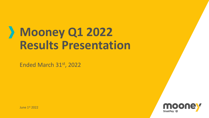## **Mooney Q1 2022 Results Presentation**

Ended March 31st, 2022

June 1st 2022

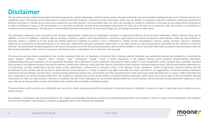### **Disclaimer**

This document and any related presentations have been prepared by, and the information contained herein (unless otherwise indicated), has been provided by Mooney Group S.p.A. ("Mooney Group") on a confidential basis. The purpose of this presentation is solely to draw the recipients' attention to certain information which may be relevant in connection with their evaluation of Mooney Group and its financial instruments. It should not be used by any recipient for any other purpose. This presentation does not, and is not intended to, contain or constitute or form part of, and should not be construed as, an offer of whatsoever nature, in the United States or in any other jurisdiction. No part of this presentation should form the basis of, or be relied on in connection with, any contract or commitment or investment decision whatsoever. This document is not intended to provide and should not be construed as leagl, tax, accounting investment or other advice.

The information contained in this presentation has not been independently verified and no independent evaluation or appraisal of Mooney Group has been undertaken. Neither Mooney Group nor its affiliates, nor its or its affiliates' respective officers, directors, employees, agents, other representatives, consultants, legal counsel, accountants, financial or other advisers, make any representation or warranty, express or implied, as to (nor accept any liability whatsoever (whether in contract, in tort or otherwise) in relation to) the reasonableness, fairness, quality, accuracy, relevance, reliability, sufficiency or completeness of this presentation or any statement, information, forecast or projection made herein, or any other written or oral communications transmitted to the recipient in connection herewith. The presentation has been prepared on the basis of the position as at the time of the presentation, and we will not update or correct any of the information provided in the presentation after the date of the presentation. There can be no assurances that the forecasts or expectations are or will prove to be accurate.

This document and any related presentations may contain statements that are not statements of historical fact, including, without limitation, any statements preceded by, followed by or including the words "taraets." "believes." "expects." "aims." "intends." "mav." "anticipates." "would." "could" or similar expressions or the negative thereof, which constitute forward-looking statements. notwithstanding that such statements are not specifically identified. These statements include statements regarding the intent, belief or current expectations of the customer base, estimates regarding future growth in the different business lines and the business, market share, financial results and other aspects of activities of and situations relating to Mooney Group. Such forward looking statements are not quarantees of future performance and the actual results, performance, achievements or business results of the Mooney Group's operations, results of operations, financial position and the development of the markets and the business in which Mooney Group operates or is likely to operate may differ materially from those described in, or suggested by, the forward-looking statements contained in this presentation. By their nature, forward-looking statements involve risks, uncertainties and other important factors that could cause actual developments or results to differ materially from those expressed in our forward looking statements. The recipient is cautioned not to place undue reliance on forward looking statements, which speak only as of the date of this presentation. Mooney Group does not make any representation, warranty or prediction that the results anticipated by such forward looking statements will be achieved, and such forward looking statements represent, in each case, only one of many possible scenarios and should not be viewed as the most likely or standard scenario.

This presentation and its contents are confidential and may not be copied, reproduced, published, distributed or disclosed, directly or indirectly, in whole or in part, to any other person without our prior *written consent.*

By accepting or reviewing a copy of this presentation, the recipient acknowledges and agrees to be bound by the foregoing limitations and conditions. Failure to comply with the limitations and conditions. *set out in this Disclaimer may constitute a violation of applicable laws or may otherwise be actionable.*

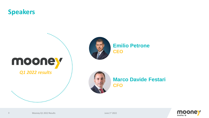



*Q1 2022 results*



**Emilio Petrone CEO**



**Marco Davide Festari CFO**

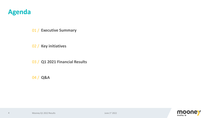#### **Agenda**

4

01 / **Executive Summary**

02 / **Key initiatives**

03 / **Q1 2021 Financial Results**

04 / **Q&A**



June 1st Mooney Q1 2022 Results 2022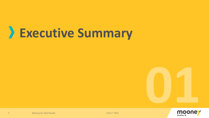## > Executive Summary

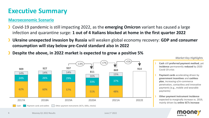#### **Executive Summary**

#### **Macroeconomic Scenario**

- Covid-19 pandemic is still impacting 2022, as the **emerging Omicron** variant has caused a large infection and quarantine surge: **1 out of 4 Italians blocked at home in the first quarter 2022**
- **Ukraine unexpected invasion by Russia** will weaken global economy recovery: **GDP and consumer consumption will stay below pre-Covid standard also in 2022**
- **Despite the above, in 2022 market is expected to grow a positive 5%**



#### *Market Key Highlights*

- **Cash** still **preferred payment method**, yet **incidence** permanently **reduced** by 2020 Covid-19 crisis
- **Payment cards** accelerating driven by **government incentives** and **cashless plan**, increasing e/m-commerce penetration, contactless and innovative payments (e.g., mobile and wearable payments)
- **Other payment instrument incidence**  expected to marginally increase vs. 2019, mainly driven by **online SCTs increase**

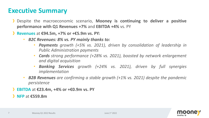#### **Executive Summary**

- Despite the macroeconomic scenario, **Mooney is continuing to deliver a positive performance with Q1 Revenues +7%** and **EBITDA +4%** vs. PY
- **Revenues** at **€94.5m, +7% or +€5.9m vs. PY:**
	- *B2C Revenues: 8% vs. PY mainly thanks to:*
		- *Payments growth (+5% vs. 2021), driven by consolidation of leadership in Public Administration payments*
		- *Cards strong performance (+28% vs. 2021), boosted by network enlargement and digital acquisition*
		- *Banking Services growth (+24% vs. 2021), driven by full synergies implementation*
	- *B2B Revenues are confirming a stable growth (+1% vs. 2021) despite the pandemic persistence*
- **EBITDA** at **€23.4m, +4% or +€0.9m vs. PY**

**NFP** at **€559.8m**

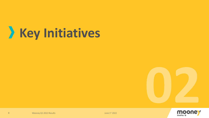# Xey Initiatives



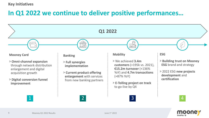#### **Key Initiatives**

#### **In Q1 2022 we continue to deliver positive performances…**



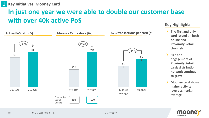### **In just one year we were able to double our customer base with over 40k active PoS**



#### **Key Highlights**

- The **first and only card issued** on both **online** and **Proximity Retail channels**
- Size and engagement of **Proximity Retail**  cards distribution **network continue to grow**
- **Mooney card** shows **higher activity levels** vs market average

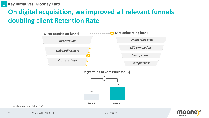**Key Initiatives: Mooney Card** 1

### **On digital acquisition, we improved all relevant funnels doubling client Retention Rate**



**Registration to Card Purchase**[%]



Digital acquisition start: May 2021

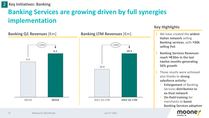**Key Initiatives: Banking** 2

### **Banking Services are growing driven by full synergies implementation**



#### **Key Highlights**

- **Italian network** selling **Banking services**, with **≈30k selling PoS**
- **Banking Services Revenues reach ≈€30m in the last twelve months generating 56% growth**
- These results were achieved also thanks to **strong salesforce activity:**
	- **Enlargement** of Banking Services **distribution to ex-Sisal network**
	- **On-field training** for merchants to **boost Banking Services adoption**

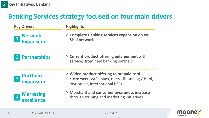### **Banking Services strategy focused on four main drivers**

| <b>Key Drivers</b>                                 | <b>Highlights</b>                                                                                                           |  |  |  |
|----------------------------------------------------|-----------------------------------------------------------------------------------------------------------------------------|--|--|--|
| <b>Network</b><br>$\mathbf{1}$<br><b>Expansion</b> | > Complete Banking services expansion on ex-<br><b>Sisal network</b>                                                        |  |  |  |
| <b>Partnerships</b>                                | > Current product offering enlargement with<br>services from new banking partners                                           |  |  |  |
| <b>Portfolio</b><br>$\overline{3}$<br>expansion    | > Widen product offering to prepaid card<br>customers (VAS: loans, micro financing / bnpl,<br>insurance, international P2P) |  |  |  |
| <b>Marketing</b><br>$\overline{4}$<br>excellence   | > Merchant and consumer awareness increase<br>through training and marketing initiatives                                    |  |  |  |

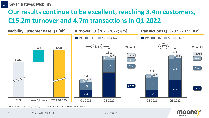**Key Initiatives: Mobility** 3

### **Our results continue to be excellent, reaching 3.4m customers, €15.2m turnover and 4.7m transactions in Q1 2022**



1) Local Public Transports; 2) Including Train, Taxi, Ferry, Tax and Fines, Events and PoI Tickets

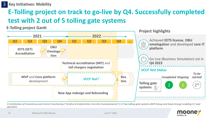3 **Key Initiatives: Mobility**

### **E-Tolling project on track to go-live by Q4. Successfully completed test with 2 out of 5 tolling gate systems**

**E-Tolling project Gantt**



*1) Verification of Consistency and Correct Functioning ("Verifica di Conformità e Corretto Funzionamento"); 2) Two tolling gate systems (ASPI Group and Gavio Group) enabling 21 road operators*

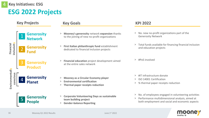### **ESG 2022 Projects**



**SisalPay**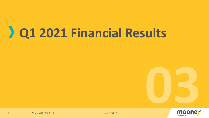## 2 Q1 2021 Financial Results

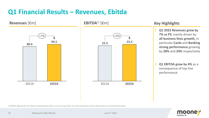### **Q1 Financial Results – Revenues, Ebitda**



1) EBITDA adjusted for the effect of extraordinary items, non-recurring, other one-off transactions and the depreciation of certain shared assets

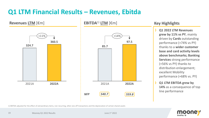### **Q1 LTM Financial Results – Revenues, Ebitda**



#### **Key Highlights**

- **Q1 2022 LTM Revenues grew by 11% vs PY**, mainly driven by **Cards** outstanding performance (+74% vs PY) thanks to a **wider customer base and card activity levels above benchmarks; Banking Services** strong performance (+56% vs PY) thanks to distribution enlargement; excellent Mobility performance (+68% vs. PY)
- **Q1 LTM EBITDA grew by 14%** as a consequence of top line performance

1) EBITDA adjusted for the effect of extraordinary items, non-recurring, other one-off transactions and the depreciation of certain shared assets

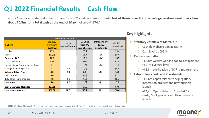### **Q1 2022 Financial Results – Cash Flow**

In 2022 we have sustained extraordinary "one off" costs and investments. Net of those one-offs, the cash generation would have been about €6,8m, for a total cash at the end of March of about €74,4m

| <b>Mooney Cash Flow</b>             |                                                |                              |                                     |                                                                    |                       |  |  |
|-------------------------------------|------------------------------------------------|------------------------------|-------------------------------------|--------------------------------------------------------------------|-----------------------|--|--|
| [EUR m]                             | Q1 2022<br><b>Statutory</b><br><b>Cashflow</b> | Cash<br><b>Normalization</b> | Q1 2022<br>with WC<br>normalization | <b>Extraordinary</b><br>Costs,<br><i><u><b>Investments</b></u></i> | Q1 2022<br>normalized |  |  |
| Ebitda 1)                           | 23,4                                           |                              | 23,4                                |                                                                    | 23,4                  |  |  |
| Capex                               | (11,3)                                         |                              | (11,3)                              | 3,6                                                                | (7,7)                 |  |  |
| <b>Operating FCF</b>                | 12,1                                           |                              | 12,1                                | 3,6                                                                | 15,7                  |  |  |
| <b>Cash Conversion</b>              | 52%                                            |                              | 52%                                 |                                                                    | 67%                   |  |  |
| Extraordinary / Non-recurring Costs | (4,4)                                          |                              | (4, 4)                              | 4,4                                                                | 0,0                   |  |  |
| Change in working capital           | (4,2)                                          | 2,8                          | (1,4)                               |                                                                    | (1, 4)                |  |  |
| Unlevered Cash Flow                 | 3,5                                            | 2,8                          | 6,2                                 | 8,1                                                                | 14,3                  |  |  |
| Cash interests                      | (6, 0)                                         |                              | (6, 0)                              |                                                                    | (6, 0)                |  |  |
| RCF/ other loans changes            | (2,8)                                          | 1,3                          | (1,5)                               |                                                                    | (1, 5)                |  |  |
| <b>Cash Flow</b>                    | (5, 4)                                         | 4,1                          | (1,3)                               | 8,1                                                                | 6,8                   |  |  |
| Cash December 31st 2021             | (67, 6)                                        |                              | (67, 6)                             |                                                                    | (67, 6)               |  |  |
| Cash March 31st 2022                | (62,3)                                         | (4, 1)                       | (66, 4)                             | (8,1)                                                              | (74, 4)               |  |  |

Key highlights

- Statutory cashflow at March 31st:
	- Cash flow absorption at  $£5,4m$
	- Cash level at €62.3m

#### Cash normalization:

- +€2,8m weekly working capital realignment to LTM average level
- $\}$  +  $\epsilon$ 1,3m sterilization of RCF reimbursement
- **Extraordinary costs and investments:** 
	- $\}$  + €3,6m Capex related to segregation/ integration projects and new business launch
	- +€4,4m Opex related to Branded Card Costs, M&A projects and New business launch

1) EBITDA adjusted for the effect of extraordinary items/ non-recurring, other one-off transactions and the depreciation of certain shared assets



Mooney Q1 2022 Results **Mooney Q1 2022** Results June 1st 2022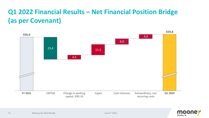## **Q1 2022 Financial Results – Net Financial Position Bridge (as per Covenant)**



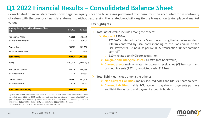#### **Q1 2022 Financial Results – Consolidated Balance Sheet**

Consolidated financial statements show negative equity since the businesses purchased from Sisal must be accounted for in continuity of values with the previous financial statements, without expressing the related goodwill despite the transaction taking place at market values **Key highlights** 

| <b>Mooney Group Consolidated Balance Sheet</b><br>[K] | FY 2021    | 3M 2022        |
|-------------------------------------------------------|------------|----------------|
| Non Current Assets                                    | 716,635    | 713,634        |
| o/w goodwill/other intangibles                        | 534,102    | 534, 102       |
| <b>Current Assets</b>                                 | 243,389    | 289,704        |
| o/w cash and cash equivalent                          | 67,633     | 62,282         |
| <b>Total Assets</b>                                   | 960,024    | 1,003,338      |
| Equity                                                | (280, 316) | $(290,028)$ 1) |
| Non Current Liabilities                               | 886,379    | 890,958        |
| o/w financial liabilities                             | 871,678    | 878,969        |
| <b>Current Liabilities</b>                            | 353,961    | 402,408        |
| o/w financial liabilities                             | 76,529     | 75,270         |
| <b>Total Liabilities &amp; Equity</b>                 | 960,024    | 1,003,338      |

1) -€290m = +€64m contributed by Banca5 at fair value; +€23m contributed by Sisal at net book value (fair value €150m); - €301m difference between Sisal contribution at book value (€304m), purchase price by SisalPay Group (€600m) and loss 2019 (€5m); +€5m contributed by Pluservice minorities; -€31mnet loss 2020; -€40mnet loss 2021; -€10mnet loss 3M 2022. 2) Value reflects Purchase Price Allocation Adjustment (-€24m)

**Total Assets** value include among the others:

#### ➢ **Goodwill €534m:**

- o **€216m2)** conferred by Banca 5 accounted using the fair value model
- o **€308m** conferred by Sisal corresponding to the Book Value of the Sisal Payments Business, as per IAS IFRS (transaction "under common control")
- o **€10m** related to MyCicero acquisition
- ➢ **Tangible and intangible assets**: **€179m** (net book value)
- ➢ **Current assets** mainly related to account receivables (**€83m**), cash and cash equivalents (**€62m**), restricted cash (**€124m**)

**Total liabilities** include among the others**:**

- ➢ **Non-Current Liabilities**: mainly secured notes and DPP vs. shareholders
- ➢ **Current liabilities**: mainly RCF, accounts payable vs. payments partners and liabilities vs. card and payment accounts holders

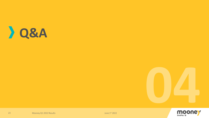





Mooney Q1 2022 Results

23

June 1st 2022